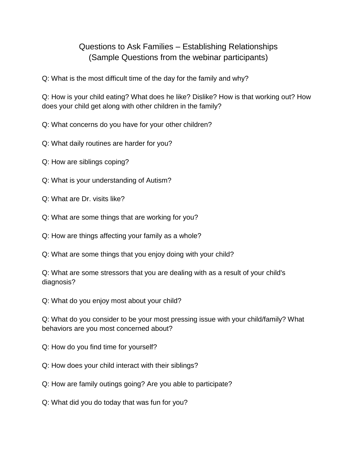## Questions to Ask Families – Establishing Relationships (Sample Questions from the webinar participants)

Q: What is the most difficult time of the day for the family and why?

Q: How is your child eating? What does he like? Dislike? How is that working out? How does your child get along with other children in the family?

Q: What concerns do you have for your other children?

Q: What daily routines are harder for you?

Q: How are siblings coping?

Q: What is your understanding of Autism?

Q: What are Dr. visits like?

Q: What are some things that are working for you?

Q: How are things affecting your family as a whole?

Q: What are some things that you enjoy doing with your child?

Q: What are some stressors that you are dealing with as a result of your child's diagnosis?

Q: What do you enjoy most about your child?

Q: What do you consider to be your most pressing issue with your child/family? What behaviors are you most concerned about?

Q: How do you find time for yourself?

Q: How does your child interact with their siblings?

Q: How are family outings going? Are you able to participate?

Q: What did you do today that was fun for you?